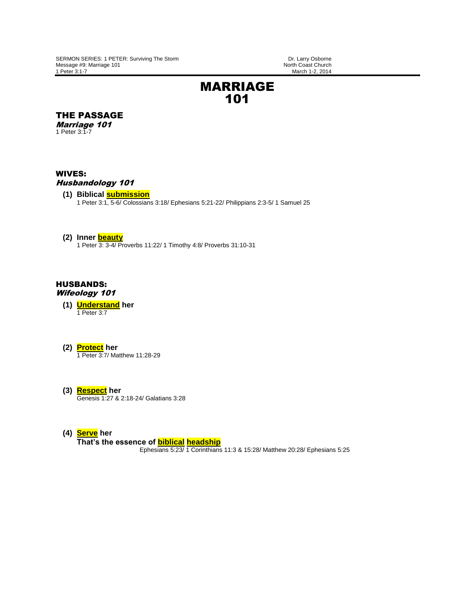March 1-2, 2014

# MARRIAGE 101

THE PASSAGE

Marriage 101 1 Peter 3:1-7

## WIVES:

## Husbandology 101

**(1) Biblical submission** 1 Peter 3:1, 5-6/ Colossians 3:18/ Ephesians 5:21-22/ Philippians 2:3-5/ 1 Samuel 25

### **(2) Inner beauty**

1 Peter 3: 3-4/ Proverbs 11:22/ 1 Timothy 4:8/ Proverbs 31:10-31

### HUSBANDS: Wifeology 101

- **(1) Understand her** 1 Peter 3:7
- **(2) Protect her**

1 Peter 3:7/ Matthew 11:28-29

- **(3) Respect her** Genesis 1:27 & 2:18-24/ Galatians 3:28
- **(4) Serve her**

**That's the essence of biblical headship**

Ephesians 5:23/ 1 Corinthians 11:3 & 15:28/ Matthew 20:28/ Ephesians 5:25